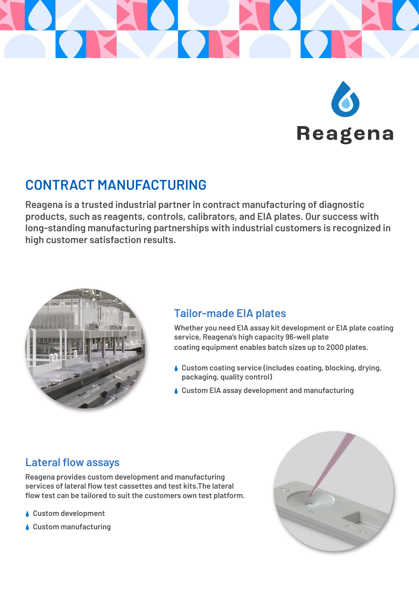



# **CONTRACT MANUFACTURING**

**Reagena is a trusted industrial partner in contract manufacturing of diagnostic products, such as reagents, controls, calibrators, and EIA plates. Our success with long-standing manufacturing partnerships with industrial customers is recognized in high customer satisfaction results.**



#### **Tailor-made EIA plates**

**Whether you need EIA assay kit development or EIA plate coating service, Reagena's high capacity 96-well plate coating equipment enables batch sizes up to 2000 plates.**

- **Custom coating service (includes coating, blocking, drying, packaging, quality control)**
- **Custom EIA assay development and manufacturing**

## **Lateral flow assays**

**Reagena provides custom development and manufacturing services of lateral flow test cassettes and test kits.The lateral flow test can be tailored to suit the customers own test platform.**

- **Custom development**
- **Custom manufacturing**